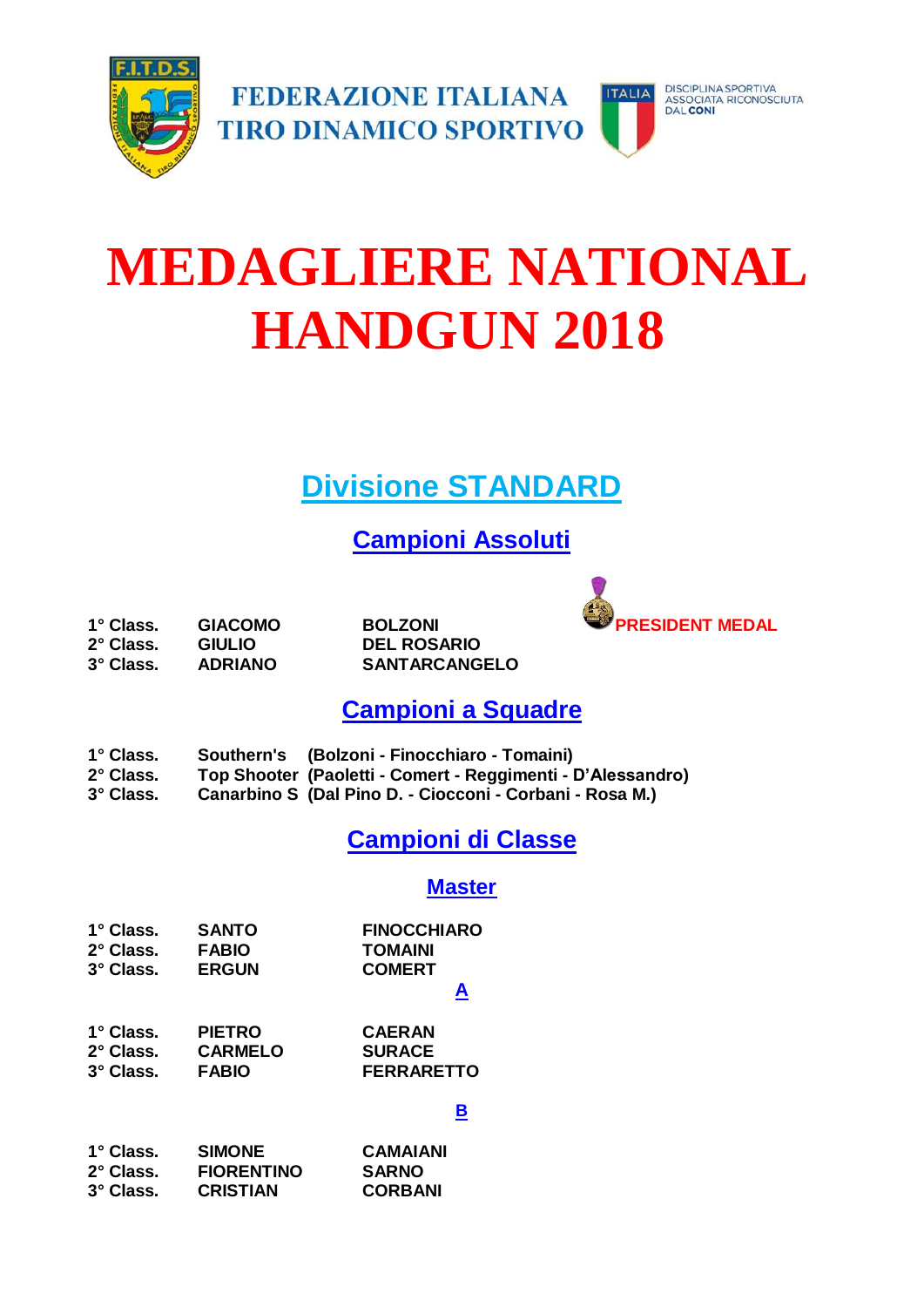

# **MEDAGLIERE NATIONAL HANDGUN 2018**

## **Divisione STANDARD**

**Campioni Assoluti**



**2° Class. GIULIO DEL ROSARIO**

**3° Class. ADRIANO SANTARCANGELO**

**Campioni a Squadre**

- **1° Class. Southern's (Bolzoni - Finocchiaro - Tomaini)**
- **2° Class. Top Shooter (Paoletti - Comert - Reggimenti - D'Alessandro)**
- **3° Class. Canarbino S (Dal Pino D. - Ciocconi - Corbani - Rosa M.)**

## **Campioni di Classe**

#### **Master**

| $1^\circ$ Class. | <b>SANTO</b> | <b>FINOCCHIARO</b> |
|------------------|--------------|--------------------|
| $2^\circ$ Class. | <b>FABIO</b> | <b>TOMAINI</b>     |
| 3° Class.        | <b>ERGUN</b> | <b>COMERT</b>      |

#### **A**

| $1^\circ$ Class. | <b>PIETRO</b>  | <b>CAERAN</b>     |
|------------------|----------------|-------------------|
| 2° Class.        | <b>CARMELO</b> | <b>SURACE</b>     |
| 3° Class.        | <b>FABIO</b>   | <b>FERRARETTO</b> |

#### **B**

| $1^\circ$ Class. | <b>SIMONE</b>     | <b>CAMAIANI</b> |
|------------------|-------------------|-----------------|
| 2° Class.        | <b>FIORENTINO</b> | <b>SARNO</b>    |
| 3° Class.        | <b>CRISTIAN</b>   | <b>CORBANI</b>  |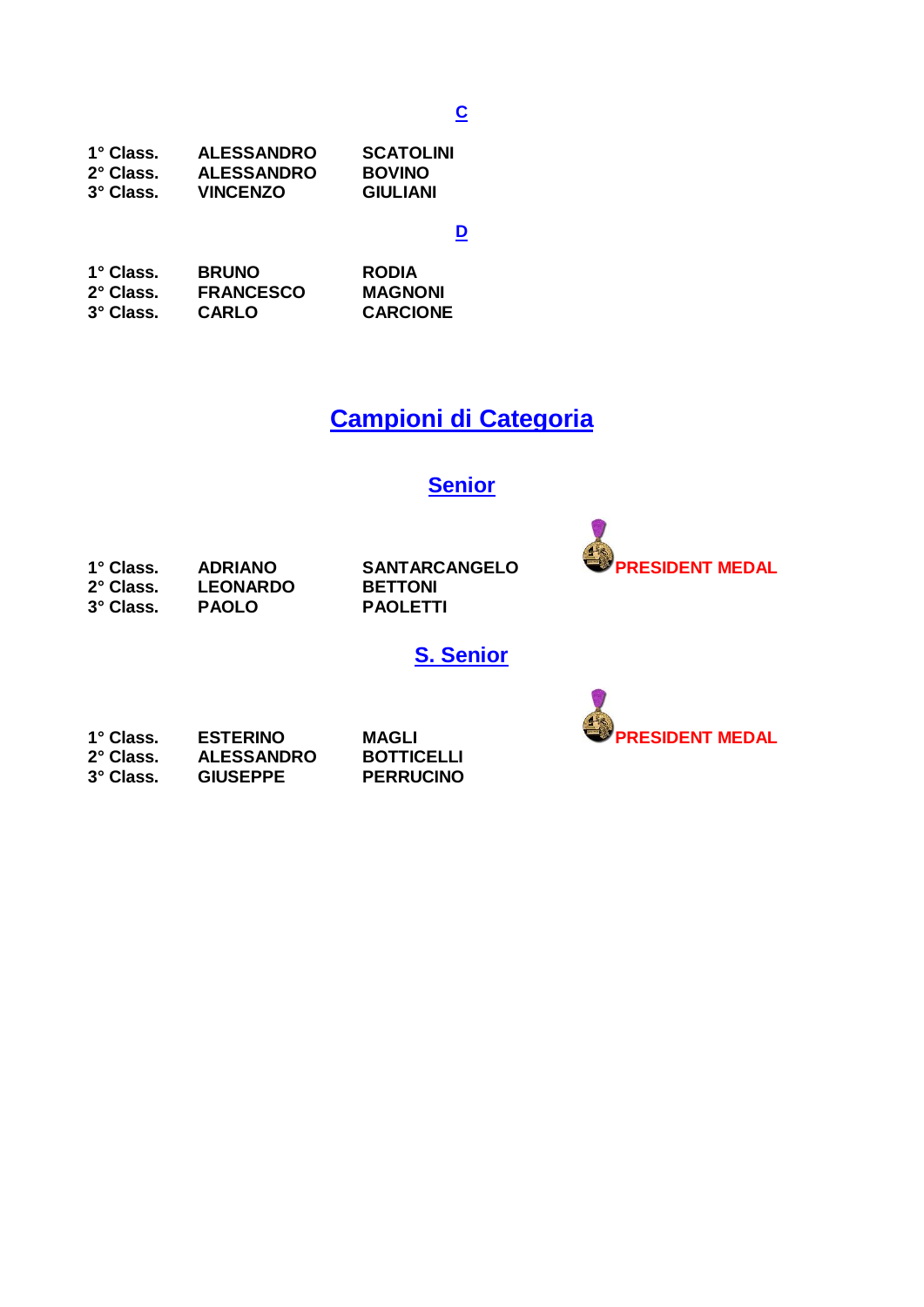#### **C**

| 1° Class. | <b>ALESSANDRO</b> | <b>SCATOLINI</b> |
|-----------|-------------------|------------------|
| 2° Class. | <b>ALESSANDRO</b> | <b>BOVINO</b>    |
| 3° Class. | <b>VINCENZO</b>   | <b>GIULIANI</b>  |

**D**

| 1° Class. | <b>BRUNO</b>     | <b>RODIA</b>    |
|-----------|------------------|-----------------|
| 2° Class. | <b>FRANCESCO</b> | <b>MAGNONI</b>  |
| 3° Class. | <b>CARLO</b>     | <b>CARCIONE</b> |

## **Campioni di Categoria**

### **Senior**

| 1° Class. | <b>ADRIANO</b>  |
|-----------|-----------------|
| 2° Class. | <b>LEONARDO</b> |
| 3° Class. | <b>PAOLO</b>    |

**BETTONI 3° Class. PAOLO PAOLETTI**



**S. Senior**

| 1° Class. | <b>ESTERINO</b>   | MAGLI             |
|-----------|-------------------|-------------------|
| 2° Class. | <b>ALESSANDRO</b> | <b>BOTTICELLI</b> |
| 3° Class. | <b>GIUSEPPE</b>   | <b>PERRUCINO</b>  |

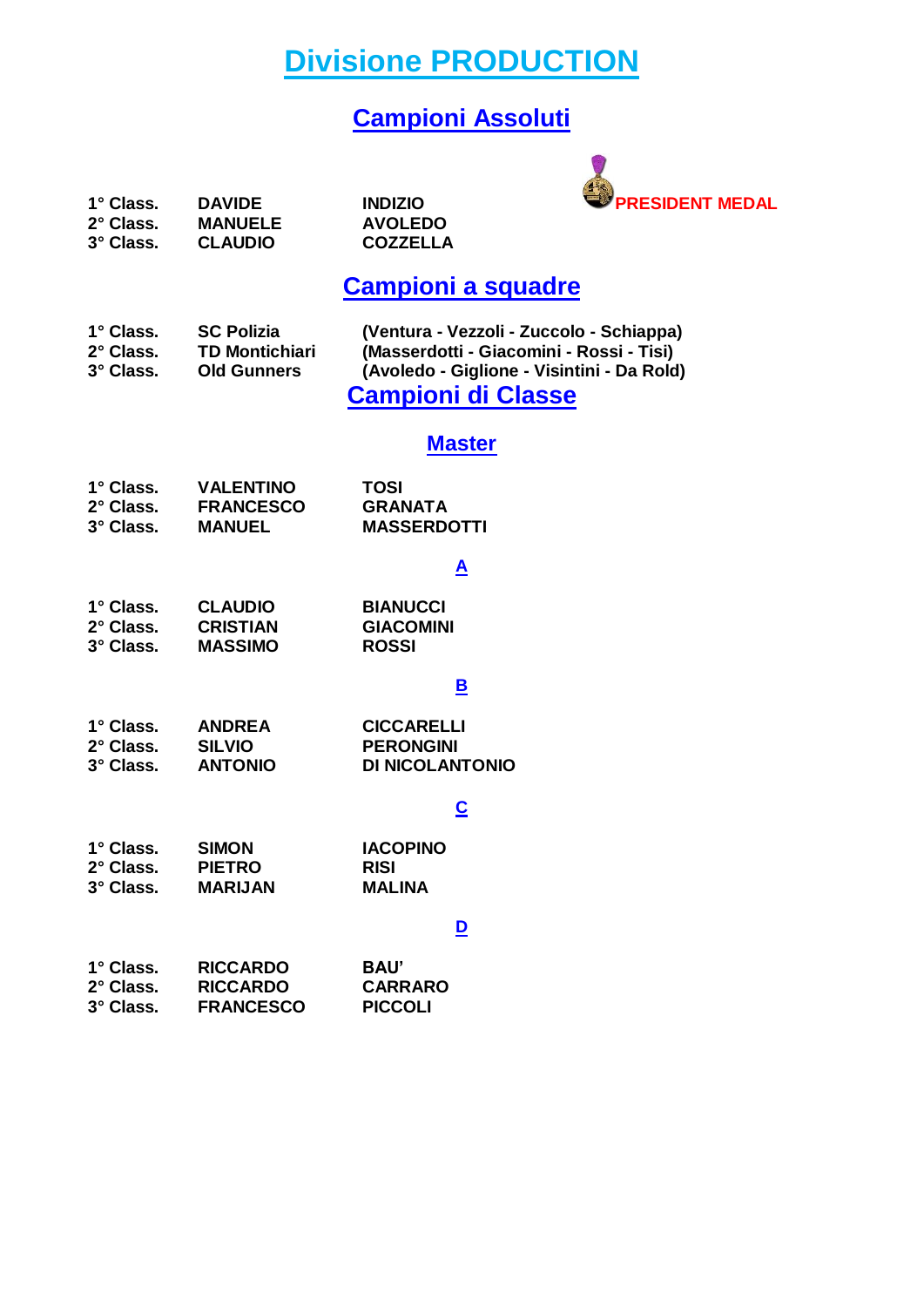**Divisione PRODUCTION**

## **Campioni Assoluti**



| 1° Class. | <b>DAVIDE</b>  | <b>INDIZIO</b>  |
|-----------|----------------|-----------------|
| 2° Class. | <b>MANUELE</b> | <b>AVOLEDO</b>  |
| 3° Class. | <b>CLAUDIO</b> | <b>COZZELLA</b> |
|           |                |                 |

## **Campioni a squadre**

| 1° Class. | <b>SC Polizia</b>     | (Ventura - Vezzoli - Zuccolo - Schiappa)   |
|-----------|-----------------------|--------------------------------------------|
| 2° Class. | <b>TD Montichiari</b> | (Masserdotti - Giacomini - Rossi - Tisi)   |
| 3° Class. | <b>Old Gunners</b>    | (Avoledo - Giglione - Visintini - Da Rold) |
|           |                       | <b>Campioni di Classe</b>                  |

### **Master**

| $1^\circ$ Class. | <b>VALENTINO</b> | TOSI               |
|------------------|------------------|--------------------|
| 2° Class.        | <b>FRANCESCO</b> | <b>GRANATA</b>     |
| 3° Class.        | <b>MANUEL</b>    | <b>MASSERDOTTI</b> |

#### **A**

| 1° Class. | <b>CLAUDIO</b>  | <b>BIANUCCI</b>  |
|-----------|-----------------|------------------|
| 2° Class. | <b>CRISTIAN</b> | <b>GIACOMINI</b> |
| 3° Class. | <b>MASSIMO</b>  | <b>ROSSI</b>     |

#### **B**

| $1^\circ$ Class. | <b>ANDREA</b>  | <b>CICCARELLI</b> |
|------------------|----------------|-------------------|
| $2^\circ$ Class. | <b>SILVIO</b>  | <b>PERONGINI</b>  |
| 3° Class.        | <b>ANTONIO</b> | DI NICOLANTONIO   |

#### **C**

| 1° Class. | <b>SIMON</b>   | <b>IACOPINO</b> |
|-----------|----------------|-----------------|
| 2° Class. | <b>PIETRO</b>  | <b>RISI</b>     |
| 3° Class. | <b>MARIJAN</b> | <b>MALINA</b>   |

#### **D**

| 1° Class. | <b>RICCARDO</b>  | BAU'           |
|-----------|------------------|----------------|
| 2° Class. | <b>RICCARDO</b>  | <b>CARRARO</b> |
| 3° Class. | <b>FRANCESCO</b> | <b>PICCOLI</b> |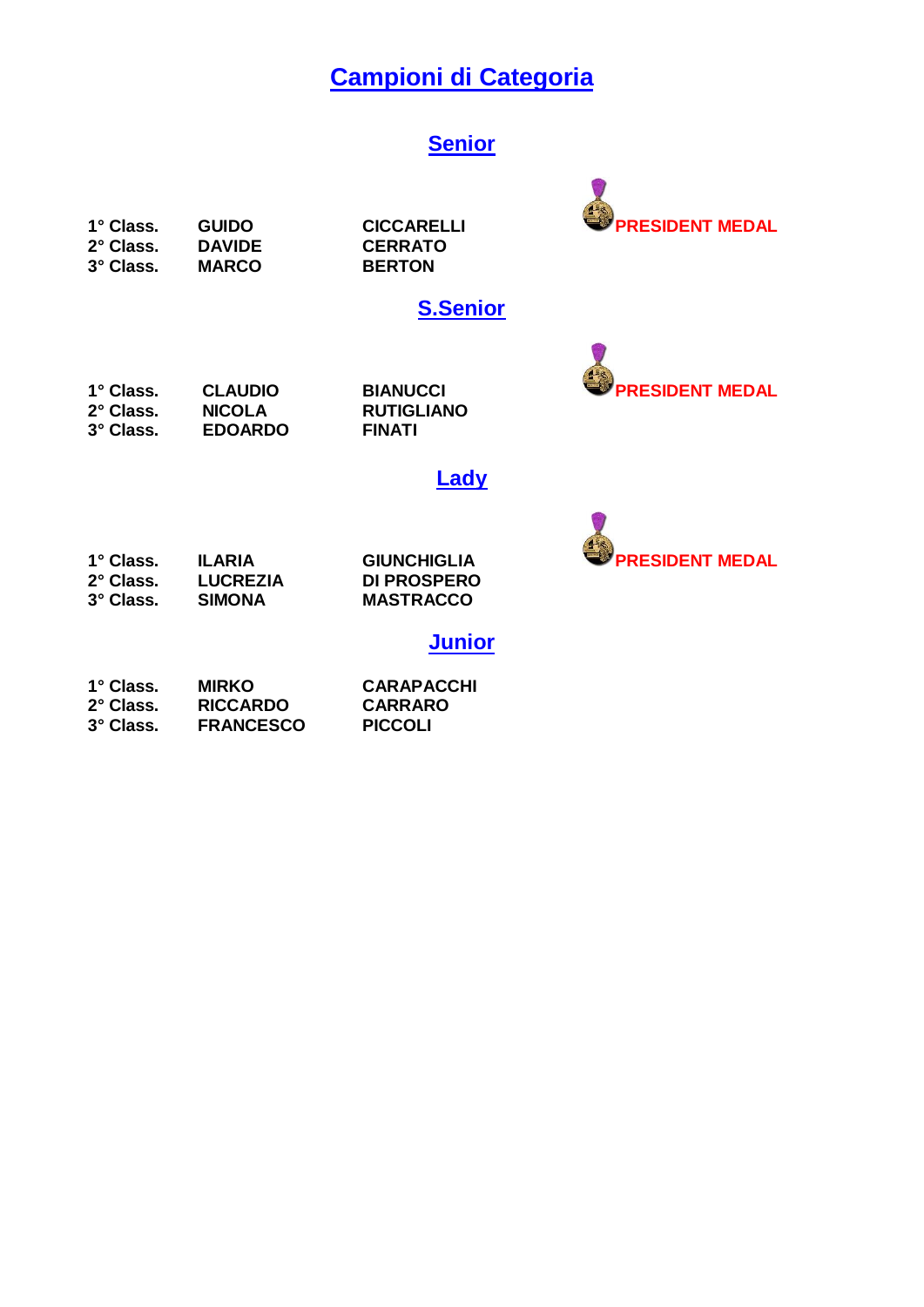## **Campioni di Categoria**

#### **Senior**

**2° Class. DAVIDE CERRATO 3° Class. MARCO BERTON**

#### **S.Senior**

1° Class. CLAUDIO BIANUCCI **PRESIDENT MEDAL**<br>2° Class. NICOLA RUTIGLIANO **3° Class. EDOARDO FINATI**

**2° Class. NICOLA RUTIGLIANO**

#### **Lady**



| 1° Class. | <b>ILARIA</b>   | <b>GIUNCHIGLIA</b> |  |
|-----------|-----------------|--------------------|--|
| 2° Class. | <b>LUCREZIA</b> | DI PROSPERO        |  |
| 3° Class. | SIMONA          | <b>MASTRACCO</b>   |  |
|           |                 |                    |  |

**Junior**

| $1^\circ$ Class. | <b>MIRKO</b>     | <b>CARAPACCHI</b> |
|------------------|------------------|-------------------|
| 2° Class.        | <b>RICCARDO</b>  | <b>CARRARO</b>    |
| 3° Class.        | <b>FRANCESCO</b> | <b>PICCOLI</b>    |

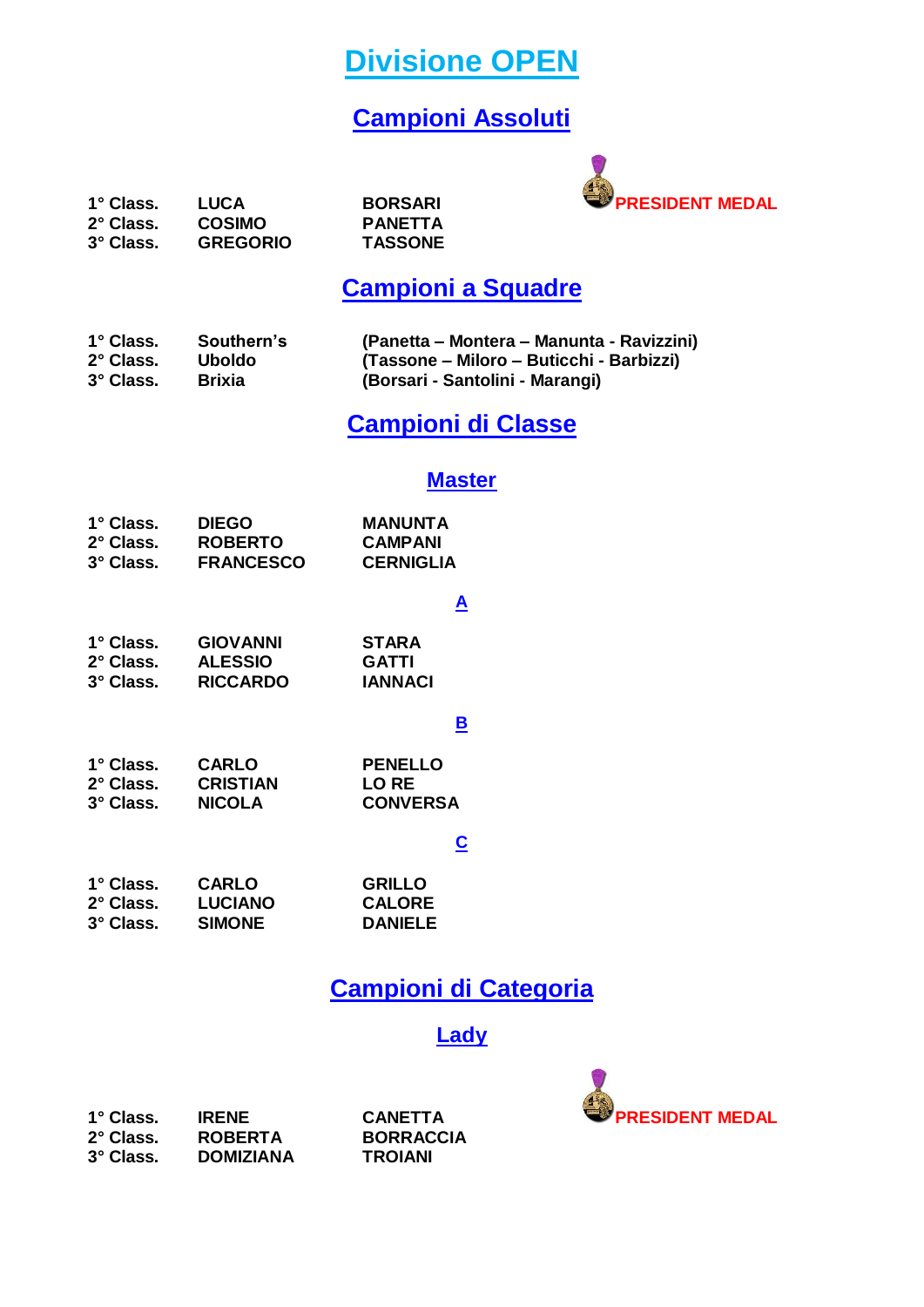**Divisione OPEN**

## **Campioni Assoluti**



## **Campioni a Squadre**

| 1° Class. | Southern's    | (Panetta – Montera – Manunta - Ravizzini) |
|-----------|---------------|-------------------------------------------|
| 2° Class. | <b>Uboldo</b> | (Tassone – Miloro – Buticchi - Barbizzi)  |
| 3° Class. | <b>Brixia</b> | (Borsari - Santolini - Marangi)           |

## **Campioni di Classe**

#### **Master**

| 1° Class. | <b>DIEGO</b>     | <b>MANUNTA</b>   |
|-----------|------------------|------------------|
| 2° Class. | <b>ROBERTO</b>   | <b>CAMPANI</b>   |
| 3° Class. | <b>FRANCESCO</b> | <b>CERNIGLIA</b> |

#### **A**

| 1° Class. | <b>GIOVANNI</b> | <b>STARA</b>   |
|-----------|-----------------|----------------|
| 2° Class. | <b>ALESSIO</b>  | GATTI          |
| 3° Class. | <b>RICCARDO</b> | <b>IANNACI</b> |

#### **B**

**1° Class. CARLO PENELLO 2° Class. CRISTIAN LO RE 3° Class. NICOLA CONVERSA**

#### **C**

| 1° Class. | <b>CARLO</b>   | <b>GRILLO</b>  |
|-----------|----------------|----------------|
| 2° Class. | <b>LUCIANO</b> | <b>CALORE</b>  |
| 3° Class. | <b>SIMONE</b>  | <b>DANIELE</b> |

### **Campioni di Categoria**

#### **Lady**

**2° Class. ROBERTA BORRACCIA**  $DOMIZIANA$ 

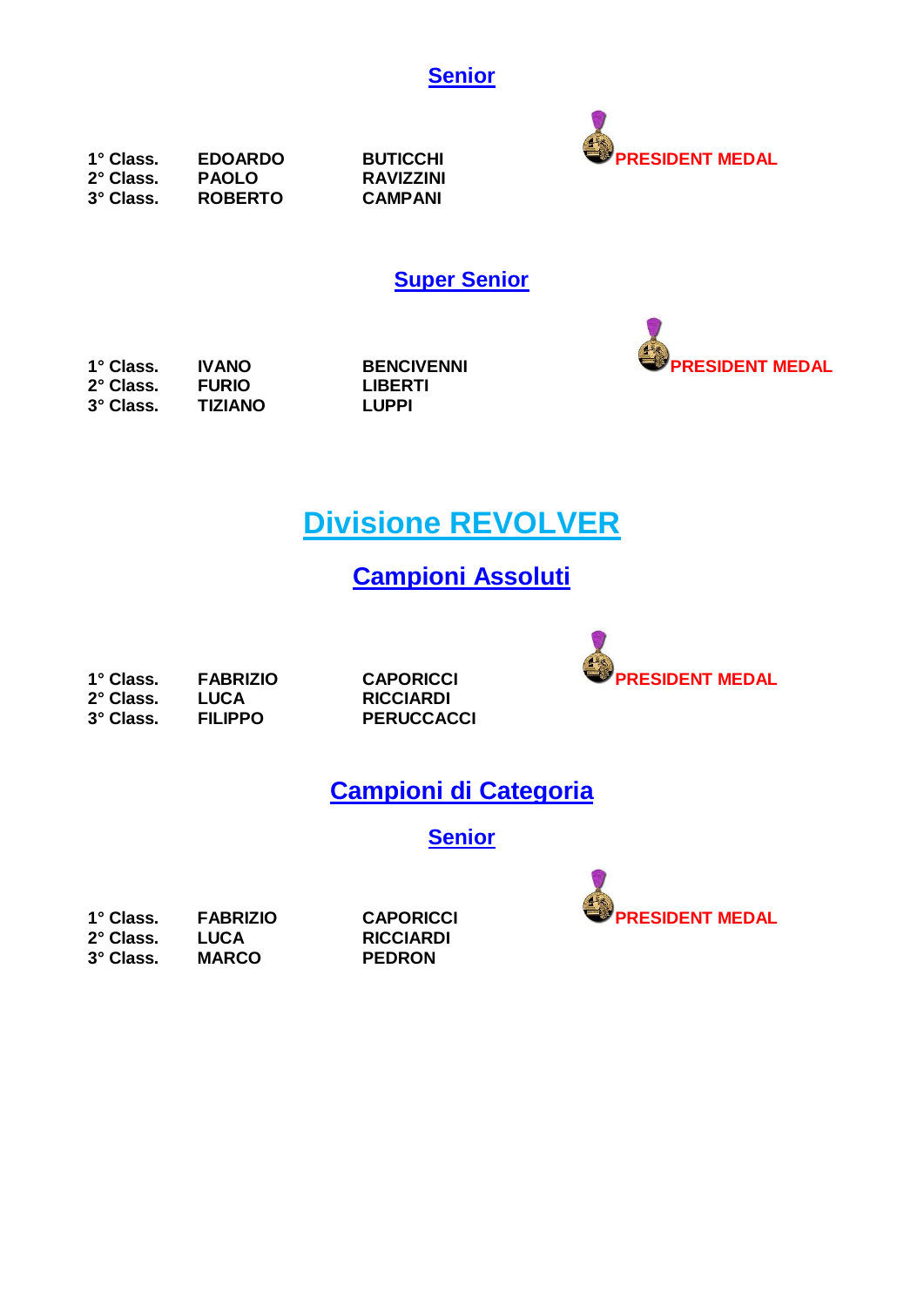



**1° Class. EDOARDO BUTICCHI PRESIDENT MEDAL 2° Class. PAOLO RAVIZZINI 3° Class. ROBERTO CAMPANI**

**Super Senior**



**1° Class. IVANO BENCIVENNI PRESIDENT MEDAL 2° Class. FURIO LIBERTI 3° Class. TIZIANO LUPPI**

## **Divisione REVOLVER**

## **Campioni Assoluti**

**2° Class. LUCA RICCIARDI**

**3° Class. FILIPPO PERUCCACCI**



## **Campioni di Categoria**

**Senior**

| 1° Class. | <b>FABRIZIO</b> |
|-----------|-----------------|
| 2° Class. | LUCA            |
| 3° Class. | <b>MARCO</b>    |

**2° Class. LUCA RICCIARDI 3° Class. MARCO PEDRON**

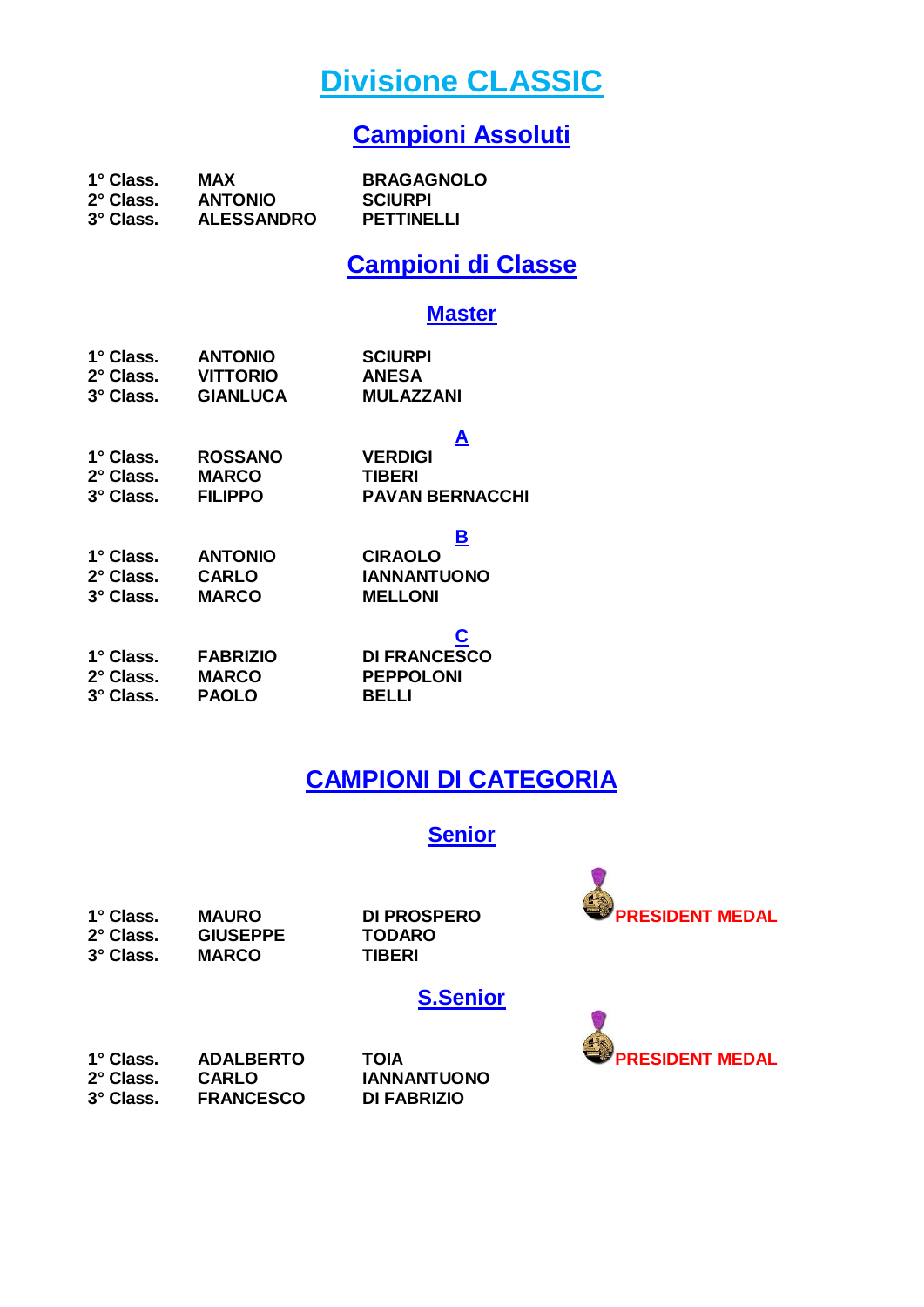## **Divisione CLASSIC**

### **Campioni Assoluti**

| 1° Class. | MAX               | <b>BRAGAGNOLO</b> |
|-----------|-------------------|-------------------|
| 2° Class. | <b>ANTONIO</b>    | <b>SCIURPI</b>    |
| 3° Class. | <b>ALESSANDRO</b> | PETTINELLI        |

### **Campioni di Classe**

#### **Master**

| 1° Class.<br>2° Class.<br>3° Class. | <b>ANTONIO</b><br><b>VITTORIO</b><br><b>GIANLUCA</b> | <b>SCIURPI</b><br><b>ANESA</b><br><b>MULAZZANI</b> |
|-------------------------------------|------------------------------------------------------|----------------------------------------------------|
| 1° Class.                           | <b>ROSSANO</b>                                       | <u>A</u><br><b>VERDIGI</b>                         |
| 2° Class.                           | <b>MARCO</b>                                         | <b>TIBERI</b>                                      |
|                                     |                                                      |                                                    |
| 3° Class. FILIPPO                   |                                                      | <b>PAVAN BERNACCHI</b>                             |
|                                     |                                                      | <u>В</u>                                           |
|                                     | 1° Class. ANTONIO                                    | <b>CIRAOLO</b>                                     |
| 2° Class. CARLO                     |                                                      | <b>IANNANTUONO</b>                                 |
| 3° Class.                           | <b>MARCO</b>                                         | <b>MELLONI</b>                                     |
|                                     |                                                      |                                                    |
| 1° Class.                           | <b>FABRIZIO</b>                                      | <b>DI FRANCESCO</b>                                |
| 2° Class.                           | <b>MARCO</b>                                         | <b>PEPPOLONI</b>                                   |
| 3° Class.                           | <b>PAOLO</b>                                         | BELLI                                              |
|                                     |                                                      |                                                    |

## **CAMPIONI DI CATEGORIA**

#### **Senior**

1° Class. MAURO DI PROSPERO **PRESIDENT MEDAL**<br>2° Class. GIUSEPPE TODARO  $GIUSEPPE$ **3° Class. MARCO TIBERI**

| <b>ROSPERO</b> |  |
|----------------|--|
| <b>)ARO</b>    |  |
| FRI            |  |